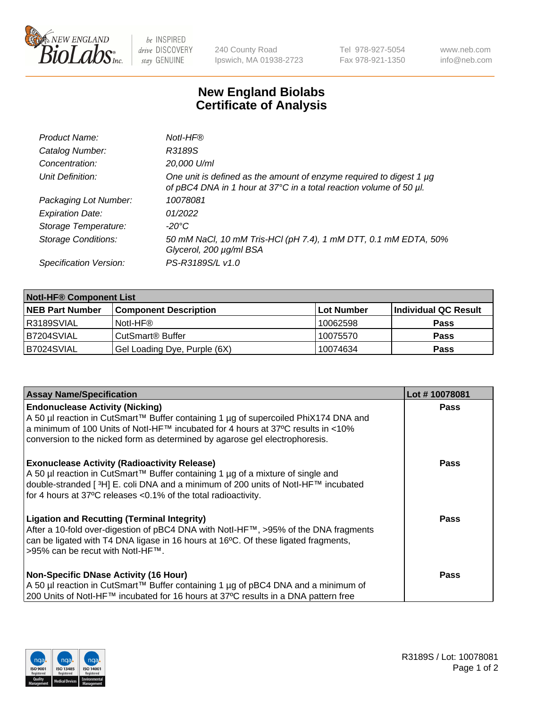

 $be$  INSPIRED drive DISCOVERY stay GENUINE

240 County Road Ipswich, MA 01938-2723 Tel 978-927-5054 Fax 978-921-1350 www.neb.com info@neb.com

## **New England Biolabs Certificate of Analysis**

| Product Name:              | Notl-HF®                                                                                                                                  |
|----------------------------|-------------------------------------------------------------------------------------------------------------------------------------------|
| Catalog Number:            | R3189S                                                                                                                                    |
| Concentration:             | 20,000 U/ml                                                                                                                               |
| Unit Definition:           | One unit is defined as the amount of enzyme required to digest 1 µg<br>of pBC4 DNA in 1 hour at 37°C in a total reaction volume of 50 µl. |
| Packaging Lot Number:      | 10078081                                                                                                                                  |
| <b>Expiration Date:</b>    | 01/2022                                                                                                                                   |
| Storage Temperature:       | $-20^{\circ}$ C                                                                                                                           |
| <b>Storage Conditions:</b> | 50 mM NaCl, 10 mM Tris-HCl (pH 7.4), 1 mM DTT, 0.1 mM EDTA, 50%<br>Glycerol, 200 µg/ml BSA                                                |
| Specification Version:     | PS-R3189S/L v1.0                                                                                                                          |

| <b>Notl-HF® Component List</b> |                              |            |                      |  |
|--------------------------------|------------------------------|------------|----------------------|--|
| <b>NEB Part Number</b>         | <b>Component Description</b> | Lot Number | Individual QC Result |  |
| R3189SVIAL                     | Notl-HF®                     | 10062598   | <b>Pass</b>          |  |
| B7204SVIAL                     | CutSmart <sup>®</sup> Buffer | 10075570   | <b>Pass</b>          |  |
| B7024SVIAL                     | Gel Loading Dye, Purple (6X) | 10074634   | <b>Pass</b>          |  |

| <b>Assay Name/Specification</b>                                                                                                                                                                                                                                                                              | Lot #10078081 |
|--------------------------------------------------------------------------------------------------------------------------------------------------------------------------------------------------------------------------------------------------------------------------------------------------------------|---------------|
| <b>Endonuclease Activity (Nicking)</b><br>  A 50 µl reaction in CutSmart™ Buffer containing 1 µg of supercoiled PhiX174 DNA and                                                                                                                                                                              | <b>Pass</b>   |
| a minimum of 100 Units of Notl-HF™ incubated for 4 hours at 37°C results in <10%<br>conversion to the nicked form as determined by agarose gel electrophoresis.                                                                                                                                              |               |
| <b>Exonuclease Activity (Radioactivity Release)</b><br>  A 50 µl reaction in CutSmart™ Buffer containing 1 µg of a mixture of single and<br>double-stranded [ <sup>3</sup> H] E. coli DNA and a minimum of 200 units of Notl-HF™ incubated<br>for 4 hours at 37°C releases <0.1% of the total radioactivity. | Pass          |
| <b>Ligation and Recutting (Terminal Integrity)</b><br>After a 10-fold over-digestion of pBC4 DNA with Notl-HF™, >95% of the DNA fragments<br>can be ligated with T4 DNA ligase in 16 hours at 16 <sup>o</sup> C. Of these ligated fragments,<br>1>95% can be recut with NotI-HF™.                            | Pass          |
| <b>Non-Specific DNase Activity (16 Hour)</b>                                                                                                                                                                                                                                                                 | <b>Pass</b>   |
| A 50 µl reaction in CutSmart™ Buffer containing 1 µg of pBC4 DNA and a minimum of<br>200 Units of Notl-HF™ incubated for 16 hours at 37°C results in a DNA pattern free                                                                                                                                      |               |